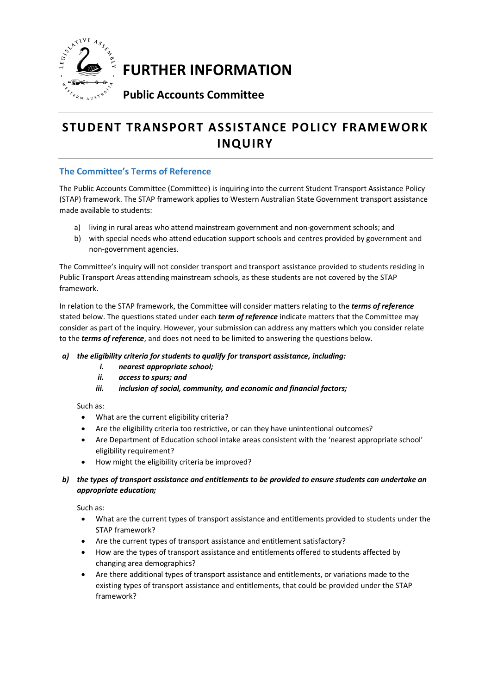

**FURTHER INFORMATION** 

# **Public Accounts Committee**

# **STUDENT TRANSPORT ASSISTANCE POLICY FRAMEWORK INQUIRY**

# **The Committee's Terms of Reference**

The Public Accounts Committee (Committee) is inquiring into the current Student Transport Assistance Policy (STAP) framework. The STAP framework applies to Western Australian State Government transport assistance made available to students:

- a) living in rural areas who attend mainstream government and non-government schools; and
- b) with special needs who attend education support schools and centres provided by government and non-government agencies.

The Committee's inquiry will not consider transport and transport assistance provided to students residing in Public Transport Areas attending mainstream schools, as these students are not covered by the STAP framework.

In relation to the STAP framework, the Committee will consider matters relating to the *terms of reference* stated below. The questions stated under each *term of reference* indicate matters that the Committee may consider as part of the inquiry. However, your submission can address any matters which you consider relate to the *terms of reference*, and does not need to be limited to answering the questions below.

## *a) the eligibility criteria for students to qualify for transport assistance, including:*

- *i. nearest appropriate school;*
- *ii. access to spurs; and*
- *iii. inclusion of social, community, and economic and financial factors;*

Such as:

- What are the current eligibility criteria?
- Are the eligibility criteria too restrictive, or can they have unintentional outcomes?
- Are Department of Education school intake areas consistent with the 'nearest appropriate school' eligibility requirement?
- How might the eligibility criteria be improved?
- *b) the types of transport assistance and entitlements to be provided to ensure students can undertake an appropriate education;*

Such as:

- What are the current types of transport assistance and entitlements provided to students under the STAP framework?
- Are the current types of transport assistance and entitlement satisfactory?
- How are the types of transport assistance and entitlements offered to students affected by changing area demographics?
- Are there additional types of transport assistance and entitlements, or variations made to the existing types of transport assistance and entitlements, that could be provided under the STAP framework?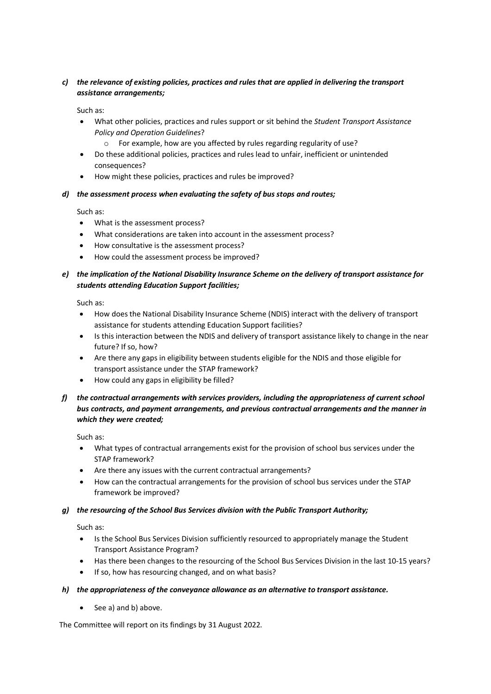### *c) the relevance of existing policies, practices and rules that are applied in delivering the transport assistance arrangements;*

Such as:

- What other policies, practices and rules support or sit behind the *Student Transport Assistance Policy and Operation Guidelines*?
	- o For example, how are you affected by rules regarding regularity of use?
- Do these additional policies, practices and rules lead to unfair, inefficient or unintended consequences?
- How might these policies, practices and rules be improved?
- *d) the assessment process when evaluating the safety of bus stops and routes;*

Such as:

- What is the assessment process?
- What considerations are taken into account in the assessment process?
- How consultative is the assessment process?
- How could the assessment process be improved?
- *e) the implication of the National Disability Insurance Scheme on the delivery of transport assistance for students attending Education Support facilities;*

Such as:

- How does the National Disability Insurance Scheme (NDIS) interact with the delivery of transport assistance for students attending Education Support facilities?
- Is this interaction between the NDIS and delivery of transport assistance likely to change in the near future? If so, how?
- Are there any gaps in eligibility between students eligible for the NDIS and those eligible for transport assistance under the STAP framework?
- How could any gaps in eligibility be filled?
- *f) the contractual arrangements with services providers, including the appropriateness of current school bus contracts, and payment arrangements, and previous contractual arrangements and the manner in which they were created;*

Such as:

- What types of contractual arrangements exist for the provision of school bus services under the STAP framework?
- Are there any issues with the current contractual arrangements?
- How can the contractual arrangements for the provision of school bus services under the STAP framework be improved?

#### *g) the resourcing of the School Bus Services division with the Public Transport Authority;*

Such as:

- Is the School Bus Services Division sufficiently resourced to appropriately manage the Student Transport Assistance Program?
- Has there been changes to the resourcing of the School Bus Services Division in the last 10-15 years?
- If so, how has resourcing changed, and on what basis?

#### *h) the appropriateness of the conveyance allowance as an alternative to transport assistance.*

• See a) and b) above.

The Committee will report on its findings by 31 August 2022.